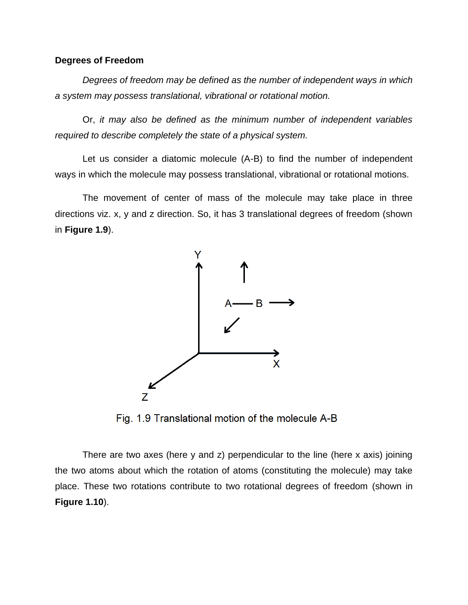## **Degrees of Freedom**

*Degrees of freedom may be defined as the number of independent ways in which a system may possess translational, vibrational or rotational motion.*

Or, *it may also be defined as the minimum number of independent variables required to describe completely the state of a physical system.*

Let us consider a diatomic molecule (A-B) to find the number of independent ways in which the molecule may possess translational, vibrational or rotational motions.

The movement of center of mass of the molecule may take place in three directions viz. x, y and z direction. So, it has 3 translational degrees of freedom (shown in **Figure 1.9**).



Fig. 1.9 Translational motion of the molecule A-B

There are two axes (here y and z) perpendicular to the line (here x axis) joining the two atoms about which the rotation of atoms (constituting the molecule) may take place. These two rotations contribute to two rotational degrees of freedom (shown in **Figure 1.10**).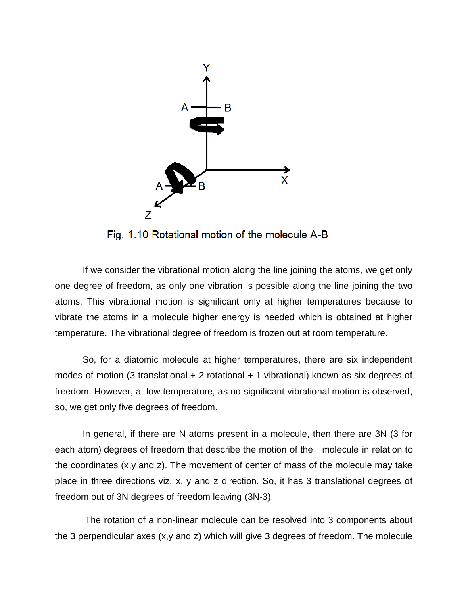

Fig. 1.10 Rotational motion of the molecule A-B

If we consider the vibrational motion along the line joining the atoms, we get only one degree of freedom, as only one vibration is possible along the line joining the two atoms. This vibrational motion is significant only at higher temperatures because to vibrate the atoms in a molecule higher energy is needed which is obtained at higher temperature. The vibrational degree of freedom is frozen out at room temperature.

So, for a diatomic molecule at higher temperatures, there are six independent modes of motion (3 translational  $+ 2$  rotational  $+ 1$  vibrational) known as six degrees of freedom. However, at low temperature, as no significant vibrational motion is observed, so, we get only five degrees of freedom.

In general, if there are N atoms present in a molecule, then there are 3N (3 for each atom) degrees of freedom that describe the motion of the molecule in relation to the coordinates  $(x, y, z)$ . The movement of center of mass of the molecule may take place in three directions viz. x, y and z direction. So, it has 3 translational degrees of freedom out of 3N degrees of freedom leaving (3N-3).

The rotation of a non-linear molecule can be resolved into 3 components about the 3 perpendicular axes (x,y and z) which will give 3 degrees of freedom. The molecule